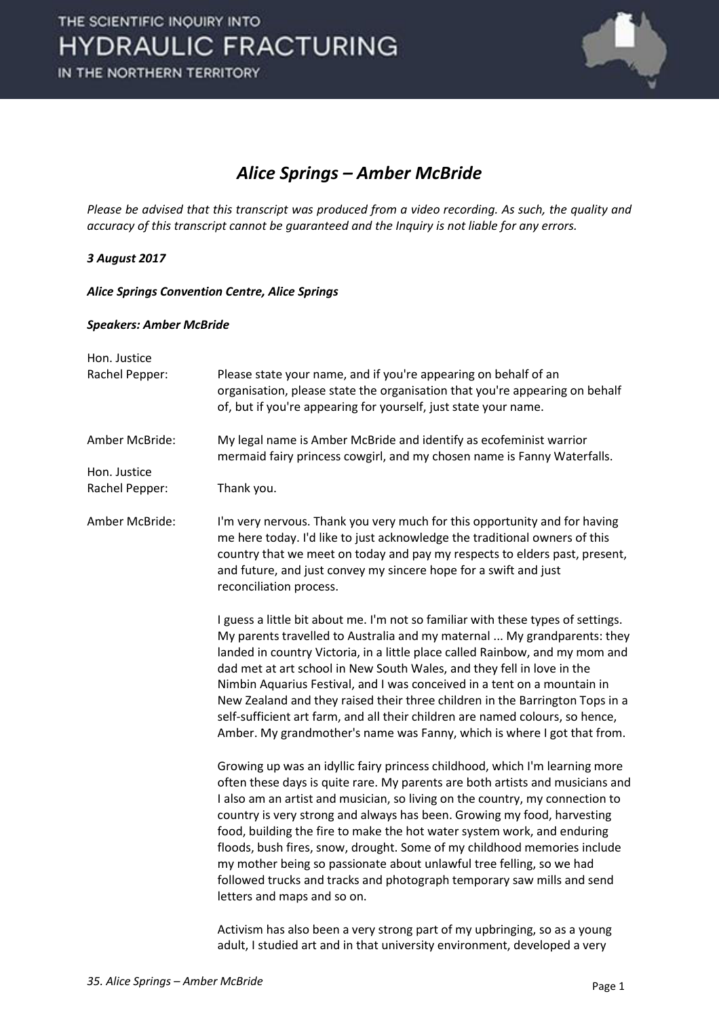

### *Alice Springs – Amber McBride*

*Please be advised that this transcript was produced from a video recording. As such, the quality and accuracy of this transcript cannot be guaranteed and the Inquiry is not liable for any errors.* 

### *3 August 2017*

*Alice Springs Convention Centre, Alice Springs* 

#### *Speakers: Amber McBride*

| Hon. Justice   |                                                                                                                                                                                                                                                                                                                                                                                                                                                                                                                                                                                                                                                                 |
|----------------|-----------------------------------------------------------------------------------------------------------------------------------------------------------------------------------------------------------------------------------------------------------------------------------------------------------------------------------------------------------------------------------------------------------------------------------------------------------------------------------------------------------------------------------------------------------------------------------------------------------------------------------------------------------------|
| Rachel Pepper: | Please state your name, and if you're appearing on behalf of an<br>organisation, please state the organisation that you're appearing on behalf<br>of, but if you're appearing for yourself, just state your name.                                                                                                                                                                                                                                                                                                                                                                                                                                               |
| Amber McBride: | My legal name is Amber McBride and identify as ecofeminist warrior<br>mermaid fairy princess cowgirl, and my chosen name is Fanny Waterfalls.                                                                                                                                                                                                                                                                                                                                                                                                                                                                                                                   |
| Hon. Justice   |                                                                                                                                                                                                                                                                                                                                                                                                                                                                                                                                                                                                                                                                 |
| Rachel Pepper: | Thank you.                                                                                                                                                                                                                                                                                                                                                                                                                                                                                                                                                                                                                                                      |
| Amber McBride: | I'm very nervous. Thank you very much for this opportunity and for having<br>me here today. I'd like to just acknowledge the traditional owners of this<br>country that we meet on today and pay my respects to elders past, present,<br>and future, and just convey my sincere hope for a swift and just<br>reconciliation process.                                                                                                                                                                                                                                                                                                                            |
|                | I guess a little bit about me. I'm not so familiar with these types of settings.<br>My parents travelled to Australia and my maternal  My grandparents: they<br>landed in country Victoria, in a little place called Rainbow, and my mom and<br>dad met at art school in New South Wales, and they fell in love in the<br>Nimbin Aquarius Festival, and I was conceived in a tent on a mountain in<br>New Zealand and they raised their three children in the Barrington Tops in a<br>self-sufficient art farm, and all their children are named colours, so hence,<br>Amber. My grandmother's name was Fanny, which is where I got that from.                  |
|                | Growing up was an idyllic fairy princess childhood, which I'm learning more<br>often these days is quite rare. My parents are both artists and musicians and<br>I also am an artist and musician, so living on the country, my connection to<br>country is very strong and always has been. Growing my food, harvesting<br>food, building the fire to make the hot water system work, and enduring<br>floods, bush fires, snow, drought. Some of my childhood memories include<br>my mother being so passionate about unlawful tree felling, so we had<br>followed trucks and tracks and photograph temporary saw mills and send<br>letters and maps and so on. |
|                | Activism has also been a very strong part of my upbringing, so as a young                                                                                                                                                                                                                                                                                                                                                                                                                                                                                                                                                                                       |

adult, I studied art and in that university environment, developed a very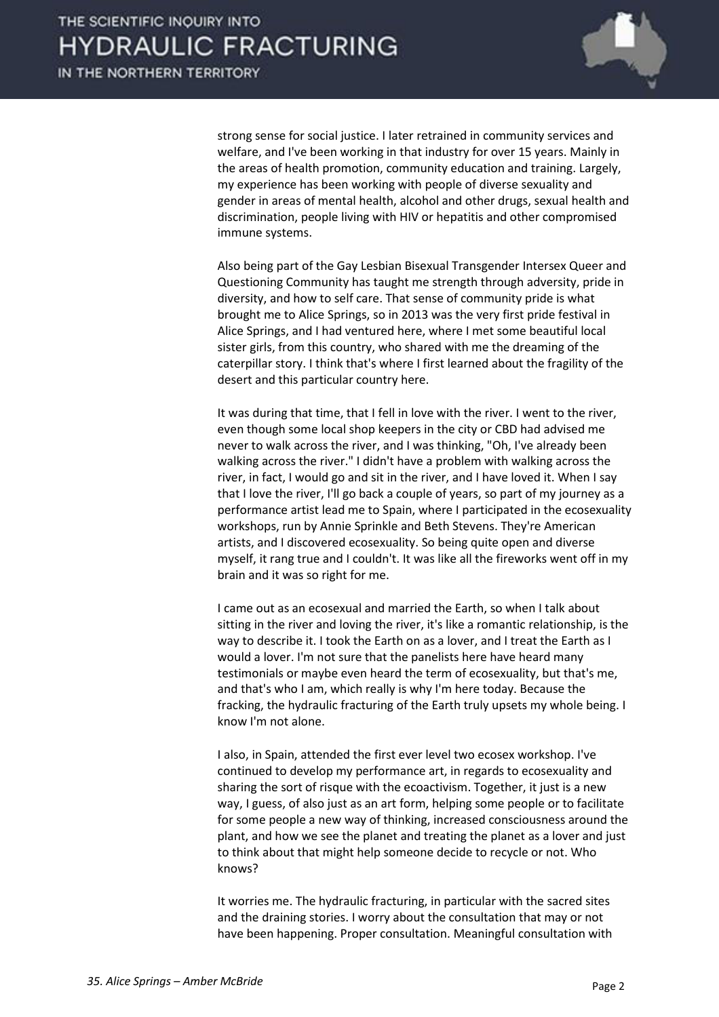

strong sense for social justice. I later retrained in community services and welfare, and I've been working in that industry for over 15 years. Mainly in the areas of health promotion, community education and training. Largely, my experience has been working with people of diverse sexuality and gender in areas of mental health, alcohol and other drugs, sexual health and discrimination, people living with HIV or hepatitis and other compromised immune systems.

 Also being part of the Gay Lesbian Bisexual Transgender Intersex Queer and Questioning Community has taught me strength through adversity, pride in diversity, and how to self care. That sense of community pride is what brought me to Alice Springs, so in 2013 was the very first pride festival in Alice Springs, and I had ventured here, where I met some beautiful local sister girls, from this country, who shared with me the dreaming of the caterpillar story. I think that's where I first learned about the fragility of the desert and this particular country here.

 It was during that time, that I fell in love with the river. I went to the river, even though some local shop keepers in the city or CBD had advised me never to walk across the river, and I was thinking, "Oh, I've already been walking across the river." I didn't have a problem with walking across the river, in fact, I would go and sit in the river, and I have loved it. When I say that I love the river, I'll go back a couple of years, so part of my journey as a performance artist lead me to Spain, where I participated in the ecosexuality workshops, run by Annie Sprinkle and Beth Stevens. They're American artists, and I discovered ecosexuality. So being quite open and diverse myself, it rang true and I couldn't. It was like all the fireworks went off in my brain and it was so right for me.

 I came out as an ecosexual and married the Earth, so when I talk about sitting in the river and loving the river, it's like a romantic relationship, is the way to describe it. I took the Earth on as a lover, and I treat the Earth as I would a lover. I'm not sure that the panelists here have heard many testimonials or maybe even heard the term of ecosexuality, but that's me, and that's who I am, which really is why I'm here today. Because the fracking, the hydraulic fracturing of the Earth truly upsets my whole being. I know I'm not alone.

 I also, in Spain, attended the first ever level two ecosex workshop. I've continued to develop my performance art, in regards to ecosexuality and sharing the sort of risque with the ecoactivism. Together, it just is a new way, I guess, of also just as an art form, helping some people or to facilitate for some people a new way of thinking, increased consciousness around the plant, and how we see the planet and treating the planet as a lover and just to think about that might help someone decide to recycle or not. Who knows?

 It worries me. The hydraulic fracturing, in particular with the sacred sites and the draining stories. I worry about the consultation that may or not have been happening. Proper consultation. Meaningful consultation with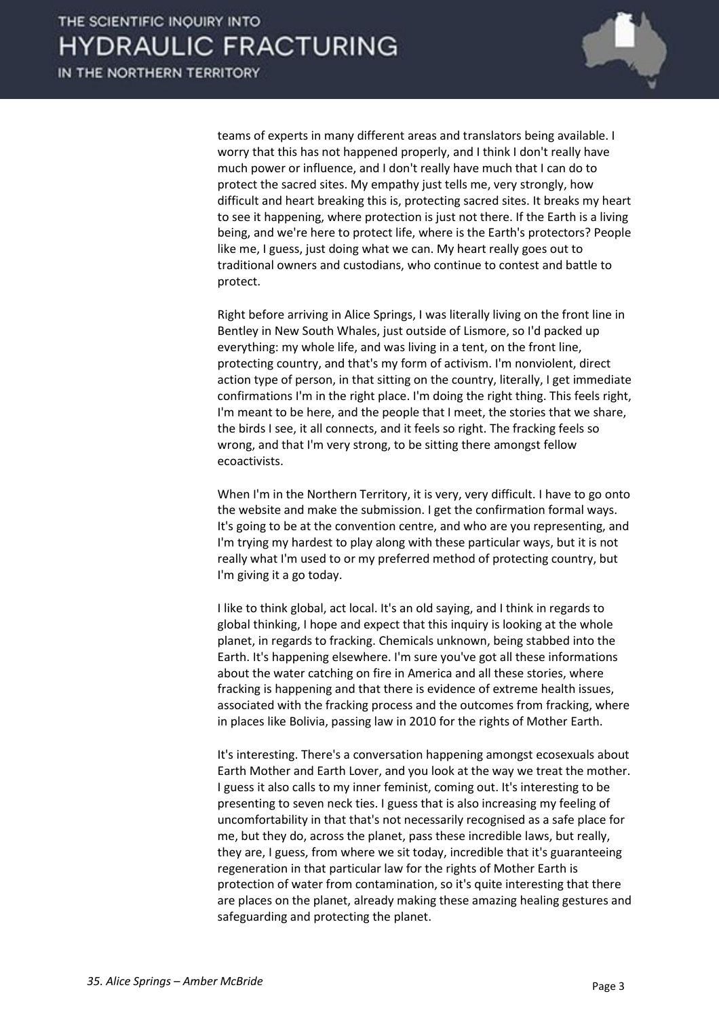

teams of experts in many different areas and translators being available. I worry that this has not happened properly, and I think I don't really have much power or influence, and I don't really have much that I can do to protect the sacred sites. My empathy just tells me, very strongly, how difficult and heart breaking this is, protecting sacred sites. It breaks my heart to see it happening, where protection is just not there. If the Earth is a living being, and we're here to protect life, where is the Earth's protectors? People like me, I guess, just doing what we can. My heart really goes out to traditional owners and custodians, who continue to contest and battle to protect.

 Right before arriving in Alice Springs, I was literally living on the front line in Bentley in New South Whales, just outside of Lismore, so I'd packed up everything: my whole life, and was living in a tent, on the front line, protecting country, and that's my form of activism. I'm nonviolent, direct action type of person, in that sitting on the country, literally, I get immediate confirmations I'm in the right place. I'm doing the right thing. This feels right, I'm meant to be here, and the people that I meet, the stories that we share, the birds I see, it all connects, and it feels so right. The fracking feels so wrong, and that I'm very strong, to be sitting there amongst fellow ecoactivists.

 When I'm in the Northern Territory, it is very, very difficult. I have to go onto the website and make the submission. I get the confirmation formal ways. It's going to be at the convention centre, and who are you representing, and I'm trying my hardest to play along with these particular ways, but it is not really what I'm used to or my preferred method of protecting country, but I'm giving it a go today.

 I like to think global, act local. It's an old saying, and I think in regards to global thinking, I hope and expect that this inquiry is looking at the whole planet, in regards to fracking. Chemicals unknown, being stabbed into the Earth. It's happening elsewhere. I'm sure you've got all these informations about the water catching on fire in America and all these stories, where fracking is happening and that there is evidence of extreme health issues, associated with the fracking process and the outcomes from fracking, where in places like Bolivia, passing law in 2010 for the rights of Mother Earth.

 It's interesting. There's a conversation happening amongst ecosexuals about Earth Mother and Earth Lover, and you look at the way we treat the mother. I guess it also calls to my inner feminist, coming out. It's interesting to be presenting to seven neck ties. I guess that is also increasing my feeling of uncomfortability in that that's not necessarily recognised as a safe place for me, but they do, across the planet, pass these incredible laws, but really, they are, I guess, from where we sit today, incredible that it's guaranteeing regeneration in that particular law for the rights of Mother Earth is protection of water from contamination, so it's quite interesting that there are places on the planet, already making these amazing healing gestures and safeguarding and protecting the planet.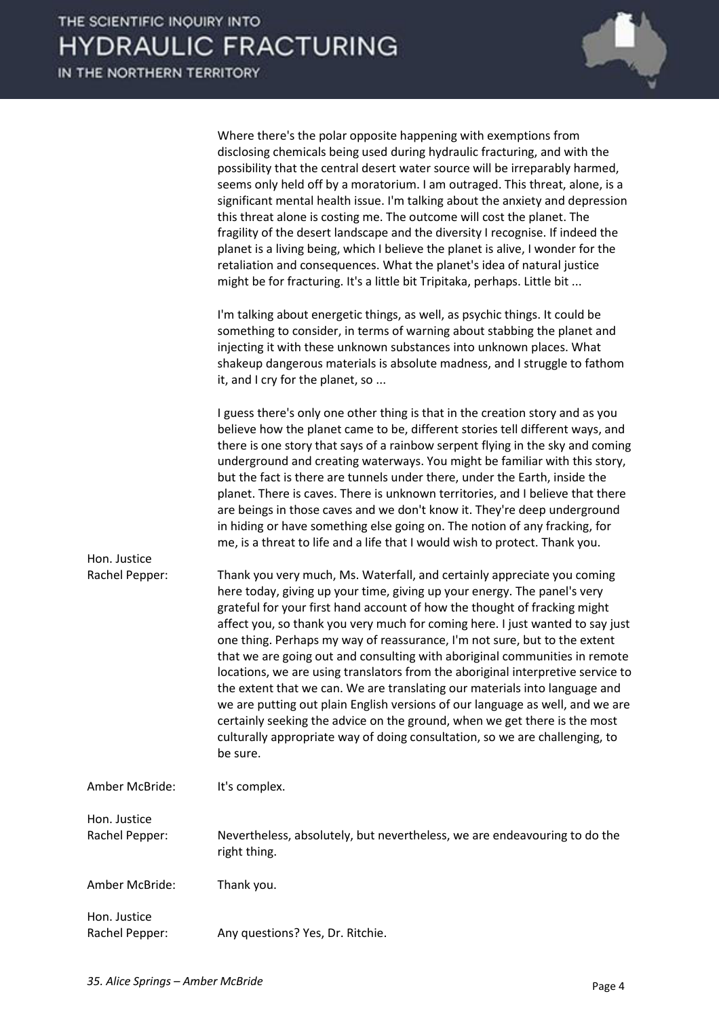|                                | Where there's the polar opposite happening with exemptions from<br>disclosing chemicals being used during hydraulic fracturing, and with the<br>possibility that the central desert water source will be irreparably harmed,<br>seems only held off by a moratorium. I am outraged. This threat, alone, is a<br>significant mental health issue. I'm talking about the anxiety and depression<br>this threat alone is costing me. The outcome will cost the planet. The<br>fragility of the desert landscape and the diversity I recognise. If indeed the<br>planet is a living being, which I believe the planet is alive, I wonder for the<br>retaliation and consequences. What the planet's idea of natural justice<br>might be for fracturing. It's a little bit Tripitaka, perhaps. Little bit                                                                                                   |
|--------------------------------|--------------------------------------------------------------------------------------------------------------------------------------------------------------------------------------------------------------------------------------------------------------------------------------------------------------------------------------------------------------------------------------------------------------------------------------------------------------------------------------------------------------------------------------------------------------------------------------------------------------------------------------------------------------------------------------------------------------------------------------------------------------------------------------------------------------------------------------------------------------------------------------------------------|
|                                | I'm talking about energetic things, as well, as psychic things. It could be<br>something to consider, in terms of warning about stabbing the planet and<br>injecting it with these unknown substances into unknown places. What<br>shakeup dangerous materials is absolute madness, and I struggle to fathom<br>it, and I cry for the planet, so                                                                                                                                                                                                                                                                                                                                                                                                                                                                                                                                                       |
|                                | I guess there's only one other thing is that in the creation story and as you<br>believe how the planet came to be, different stories tell different ways, and<br>there is one story that says of a rainbow serpent flying in the sky and coming<br>underground and creating waterways. You might be familiar with this story,<br>but the fact is there are tunnels under there, under the Earth, inside the<br>planet. There is caves. There is unknown territories, and I believe that there<br>are beings in those caves and we don't know it. They're deep underground<br>in hiding or have something else going on. The notion of any fracking, for<br>me, is a threat to life and a life that I would wish to protect. Thank you.                                                                                                                                                                |
| Hon. Justice<br>Rachel Pepper: | Thank you very much, Ms. Waterfall, and certainly appreciate you coming<br>here today, giving up your time, giving up your energy. The panel's very<br>grateful for your first hand account of how the thought of fracking might<br>affect you, so thank you very much for coming here. I just wanted to say just<br>one thing. Perhaps my way of reassurance, I'm not sure, but to the extent<br>that we are going out and consulting with aboriginal communities in remote<br>locations, we are using translators from the aboriginal interpretive service to<br>the extent that we can. We are translating our materials into language and<br>we are putting out plain English versions of our language as well, and we are<br>certainly seeking the advice on the ground, when we get there is the most<br>culturally appropriate way of doing consultation, so we are challenging, to<br>be sure. |
| Amber McBride:                 | It's complex.                                                                                                                                                                                                                                                                                                                                                                                                                                                                                                                                                                                                                                                                                                                                                                                                                                                                                          |
| Hon. Justice<br>Rachel Pepper: | Nevertheless, absolutely, but nevertheless, we are endeavouring to do the<br>right thing.                                                                                                                                                                                                                                                                                                                                                                                                                                                                                                                                                                                                                                                                                                                                                                                                              |
| Amber McBride:                 | Thank you.                                                                                                                                                                                                                                                                                                                                                                                                                                                                                                                                                                                                                                                                                                                                                                                                                                                                                             |
| Hon. Justice<br>Rachel Pepper: | Any questions? Yes, Dr. Ritchie.                                                                                                                                                                                                                                                                                                                                                                                                                                                                                                                                                                                                                                                                                                                                                                                                                                                                       |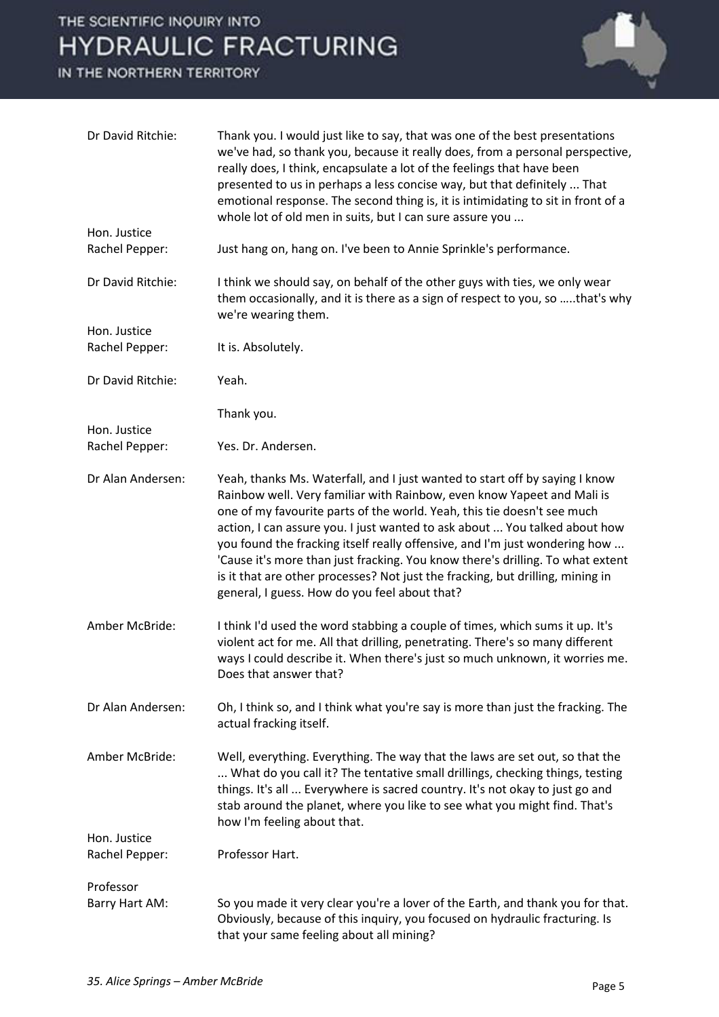# THE SCIENTIFIC INQUIRY INTO **HYDRAULIC FRACTURING**

IN THE NORTHERN TERRITORY



| Dr David Ritchie:              | Thank you. I would just like to say, that was one of the best presentations<br>we've had, so thank you, because it really does, from a personal perspective,<br>really does, I think, encapsulate a lot of the feelings that have been<br>presented to us in perhaps a less concise way, but that definitely  That<br>emotional response. The second thing is, it is intimidating to sit in front of a<br>whole lot of old men in suits, but I can sure assure you                                                                                                                                                |
|--------------------------------|-------------------------------------------------------------------------------------------------------------------------------------------------------------------------------------------------------------------------------------------------------------------------------------------------------------------------------------------------------------------------------------------------------------------------------------------------------------------------------------------------------------------------------------------------------------------------------------------------------------------|
| Hon. Justice<br>Rachel Pepper: | Just hang on, hang on. I've been to Annie Sprinkle's performance.                                                                                                                                                                                                                                                                                                                                                                                                                                                                                                                                                 |
| Dr David Ritchie:              | I think we should say, on behalf of the other guys with ties, we only wear<br>them occasionally, and it is there as a sign of respect to you, so that's why<br>we're wearing them.                                                                                                                                                                                                                                                                                                                                                                                                                                |
| Hon. Justice<br>Rachel Pepper: | It is. Absolutely.                                                                                                                                                                                                                                                                                                                                                                                                                                                                                                                                                                                                |
| Dr David Ritchie:              | Yeah.                                                                                                                                                                                                                                                                                                                                                                                                                                                                                                                                                                                                             |
|                                | Thank you.                                                                                                                                                                                                                                                                                                                                                                                                                                                                                                                                                                                                        |
| Hon. Justice<br>Rachel Pepper: | Yes. Dr. Andersen.                                                                                                                                                                                                                                                                                                                                                                                                                                                                                                                                                                                                |
| Dr Alan Andersen:              | Yeah, thanks Ms. Waterfall, and I just wanted to start off by saying I know<br>Rainbow well. Very familiar with Rainbow, even know Yapeet and Mali is<br>one of my favourite parts of the world. Yeah, this tie doesn't see much<br>action, I can assure you. I just wanted to ask about  You talked about how<br>you found the fracking itself really offensive, and I'm just wondering how<br>'Cause it's more than just fracking. You know there's drilling. To what extent<br>is it that are other processes? Not just the fracking, but drilling, mining in<br>general, I guess. How do you feel about that? |
| Amber McBride:                 | I think I'd used the word stabbing a couple of times, which sums it up. It's<br>violent act for me. All that drilling, penetrating. There's so many different<br>ways I could describe it. When there's just so much unknown, it worries me.<br>Does that answer that?                                                                                                                                                                                                                                                                                                                                            |
| Dr Alan Andersen:              | Oh, I think so, and I think what you're say is more than just the fracking. The<br>actual fracking itself.                                                                                                                                                                                                                                                                                                                                                                                                                                                                                                        |
| Amber McBride:                 | Well, everything. Everything. The way that the laws are set out, so that the<br>What do you call it? The tentative small drillings, checking things, testing<br>things. It's all  Everywhere is sacred country. It's not okay to just go and<br>stab around the planet, where you like to see what you might find. That's<br>how I'm feeling about that.                                                                                                                                                                                                                                                          |
| Hon. Justice<br>Rachel Pepper: | Professor Hart.                                                                                                                                                                                                                                                                                                                                                                                                                                                                                                                                                                                                   |
| Professor                      |                                                                                                                                                                                                                                                                                                                                                                                                                                                                                                                                                                                                                   |
| Barry Hart AM:                 | So you made it very clear you're a lover of the Earth, and thank you for that.<br>Obviously, because of this inquiry, you focused on hydraulic fracturing. Is<br>that your same feeling about all mining?                                                                                                                                                                                                                                                                                                                                                                                                         |